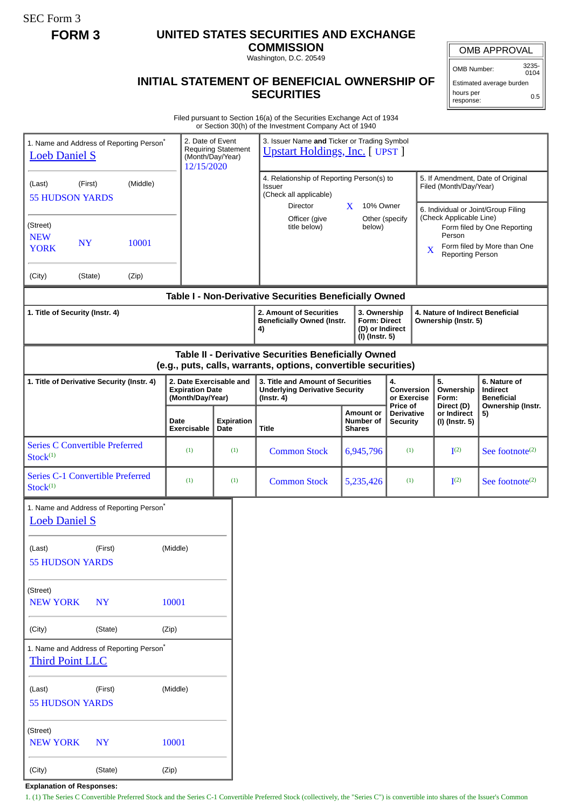SEC Form 3

## **FORM 3 UNITED STATES SECURITIES AND EXCHANGE**

**COMMISSION** Washington, D.C. 20549

OMB APPROVAL

OMB Number: 3235-

**INITIAL STATEMENT OF BENEFICIAL OWNERSHIP OF SECURITIES**

0104 Estimated average burden hours per response: 0.5

Filed pursuant to Section 16(a) of the Securities Exchange Act of 1934 or Section 30(h) of the Investment Company Act of 1940

|                                                                                                                       |                                                                                  |       |                                                                       |                                                                                            |  | or occupit object the investment company not or <b>1</b>                                       |                                         |                                                                          |                                                                                     |                                                                                                                                                                 |                                                                         |                                                                          |
|-----------------------------------------------------------------------------------------------------------------------|----------------------------------------------------------------------------------|-------|-----------------------------------------------------------------------|--------------------------------------------------------------------------------------------|--|------------------------------------------------------------------------------------------------|-----------------------------------------|--------------------------------------------------------------------------|-------------------------------------------------------------------------------------|-----------------------------------------------------------------------------------------------------------------------------------------------------------------|-------------------------------------------------------------------------|--------------------------------------------------------------------------|
| 1. Name and Address of Reporting Person <sup>*</sup><br><b>Loeb Daniel S</b>                                          | 2. Date of Event<br><b>Requiring Statement</b><br>(Month/Day/Year)<br>12/15/2020 |       |                                                                       | 3. Issuer Name and Ticker or Trading Symbol<br><b>Upstart Holdings, Inc. [ UPST ]</b>      |  |                                                                                                |                                         |                                                                          |                                                                                     |                                                                                                                                                                 |                                                                         |                                                                          |
| (Last)<br><b>55 HUDSON YARDS</b>                                                                                      |                                                                                  |       |                                                                       | 4. Relationship of Reporting Person(s) to<br><b>Issuer</b><br>(Check all applicable)<br>X. |  |                                                                                                |                                         |                                                                          | 5. If Amendment, Date of Original<br>Filed (Month/Day/Year)                         |                                                                                                                                                                 |                                                                         |                                                                          |
| (Street)<br><b>NEW</b><br><b>NY</b><br>10001<br><b>YORK</b>                                                           |                                                                                  |       |                                                                       |                                                                                            |  | Director<br>Officer (give<br>title below)                                                      |                                         | 10% Owner<br>Other (specify<br>below)                                    |                                                                                     | 6. Individual or Joint/Group Filing<br>(Check Applicable Line)<br>Form filed by One Reporting<br>Person<br>Form filed by More than One<br>X<br>Reporting Person |                                                                         |                                                                          |
| (City)                                                                                                                | (State)                                                                          | (Zip) |                                                                       |                                                                                            |  |                                                                                                |                                         |                                                                          |                                                                                     |                                                                                                                                                                 |                                                                         |                                                                          |
|                                                                                                                       |                                                                                  |       |                                                                       |                                                                                            |  | Table I - Non-Derivative Securities Beneficially Owned                                         |                                         |                                                                          |                                                                                     |                                                                                                                                                                 |                                                                         |                                                                          |
| 1. Title of Security (Instr. 4)                                                                                       |                                                                                  |       |                                                                       |                                                                                            |  | 2. Amount of Securities<br><b>Beneficially Owned (Instr.</b><br>4)                             |                                         | 3. Ownership<br><b>Form: Direct</b><br>(D) or Indirect<br>(I) (Instr. 5) |                                                                                     |                                                                                                                                                                 | 4. Nature of Indirect Beneficial<br>Ownership (Instr. 5)                |                                                                          |
| Table II - Derivative Securities Beneficially Owned<br>(e.g., puts, calls, warrants, options, convertible securities) |                                                                                  |       |                                                                       |                                                                                            |  |                                                                                                |                                         |                                                                          |                                                                                     |                                                                                                                                                                 |                                                                         |                                                                          |
| 1. Title of Derivative Security (Instr. 4)                                                                            |                                                                                  |       | 2. Date Exercisable and<br><b>Expiration Date</b><br>(Month/Day/Year) |                                                                                            |  | 3. Title and Amount of Securities<br><b>Underlying Derivative Security</b><br>$($ lnstr. 4 $)$ |                                         |                                                                          | 4.<br>Conversion<br>or Exercise<br>Price of<br><b>Derivative</b><br><b>Security</b> |                                                                                                                                                                 | 5.<br>Ownership<br>Form:<br>Direct (D)<br>or Indirect<br>(I) (Instr. 5) | 6. Nature of<br>Indirect<br><b>Beneficial</b><br>Ownership (Instr.<br>5) |
|                                                                                                                       |                                                                                  |       | <b>Date</b><br>Exercisable                                            | Expiration<br>Date                                                                         |  | Title                                                                                          | Amount or<br>Number of<br><b>Shares</b> |                                                                          |                                                                                     |                                                                                                                                                                 |                                                                         |                                                                          |
| <b>Series C Convertible Preferred</b><br>Stock <sup>(1)</sup>                                                         |                                                                                  |       | (1)                                                                   | (1)                                                                                        |  | <b>Common Stock</b>                                                                            |                                         | 6,945,796                                                                | (1)                                                                                 |                                                                                                                                                                 | I <sup>(2)</sup>                                                        | See footnote <sup>(2)</sup>                                              |
| <b>Series C-1 Convertible Preferred</b><br>Stock <sup>(1)</sup>                                                       |                                                                                  |       | (1)                                                                   | (1)                                                                                        |  | <b>Common Stock</b>                                                                            |                                         | 5,235,426                                                                | (1)                                                                                 |                                                                                                                                                                 | I <sup>(2)</sup>                                                        | See footnote <sup><math>(2)</math></sup>                                 |
| 1. Name and Address of Reporting Person <sup>®</sup><br><b>Loeb Daniel S</b>                                          |                                                                                  |       |                                                                       |                                                                                            |  |                                                                                                |                                         |                                                                          |                                                                                     |                                                                                                                                                                 |                                                                         |                                                                          |
| (First)<br>(Last)<br><b>55 HUDSON YARDS</b>                                                                           |                                                                                  |       | (Middle)                                                              |                                                                                            |  |                                                                                                |                                         |                                                                          |                                                                                     |                                                                                                                                                                 |                                                                         |                                                                          |
| (Street)<br><b>NEW YORK</b>                                                                                           | 10001                                                                            |       |                                                                       |                                                                                            |  |                                                                                                |                                         |                                                                          |                                                                                     |                                                                                                                                                                 |                                                                         |                                                                          |
| (City)                                                                                                                | (State)<br>(Zip)                                                                 |       |                                                                       |                                                                                            |  |                                                                                                |                                         |                                                                          |                                                                                     |                                                                                                                                                                 |                                                                         |                                                                          |
| 1. Name and Address of Reporting Person*<br><b>Third Point LLC</b>                                                    |                                                                                  |       |                                                                       |                                                                                            |  |                                                                                                |                                         |                                                                          |                                                                                     |                                                                                                                                                                 |                                                                         |                                                                          |
| (First)<br>(Last)<br><b>55 HUDSON YARDS</b>                                                                           |                                                                                  |       | (Middle)                                                              |                                                                                            |  |                                                                                                |                                         |                                                                          |                                                                                     |                                                                                                                                                                 |                                                                         |                                                                          |
| (Street)<br><b>NEW YORK</b><br><b>NY</b>                                                                              |                                                                                  |       | 10001                                                                 |                                                                                            |  |                                                                                                |                                         |                                                                          |                                                                                     |                                                                                                                                                                 |                                                                         |                                                                          |
| (City)<br>(State)                                                                                                     |                                                                                  |       | (Zip)                                                                 |                                                                                            |  |                                                                                                |                                         |                                                                          |                                                                                     |                                                                                                                                                                 |                                                                         |                                                                          |

**Explanation of Responses:**

1. (1) The Series C Convertible Preferred Stock and the Series C-1 Convertible Preferred Stock (collectively, the "Series C") is convertible into shares of the Issuer's Common